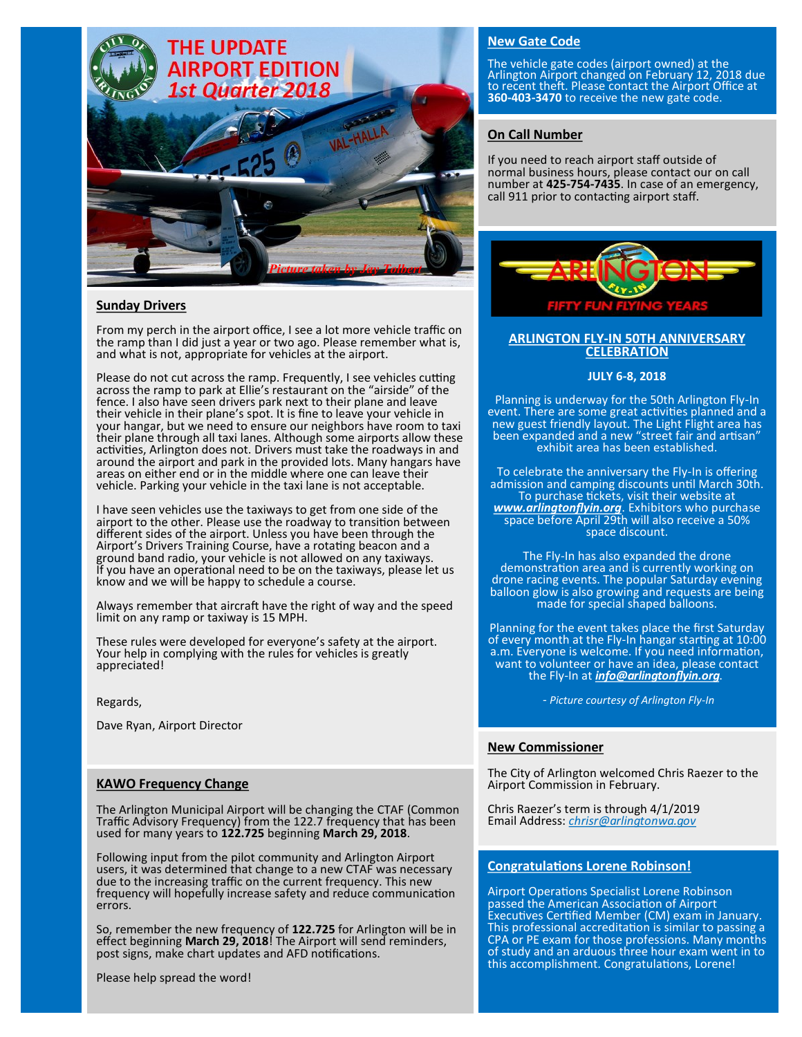

### **Sunday Drivers**

From my perch in the airport office, I see a lot more vehicle traffic on the ramp than I did just a year or two ago. Please remember what is, and what is not, appropriate for vehicles at the airport.

Please do not cut across the ramp. Frequently, I see vehicles cutting across the ramp to park at Ellie's restaurant on the "airside" of the fence. I also have seen drivers park next to their plane and leave their vehicle in their plane's spot. It is fine to leave your vehicle in your hangar, but we need to ensure our neighbors have room to taxi their plane through all taxi lanes. Although some airports allow these activities, Arlington does not. Drivers must take the roadways in and around the airport and park in the provided lots. Many hangars have areas on either end or in the middle where one can leave their vehicle. Parking your vehicle in the taxi lane is not acceptable.

I have seen vehicles use the taxiways to get from one side of the airport to the other. Please use the roadway to transition between different sides of the airport. Unless you have been through the Airport's Drivers Training Course, have a rotating beacon and a ground band radio, your vehicle is not allowed on any taxiways. If you have an operational need to be on the taxiways, please let us know and we will be happy to schedule a course.

Always remember that aircraft have the right of way and the speed limit on any ramp or taxiway is 15 MPH.

These rules were developed for everyone's safety at the airport. Your help in complying with the rules for vehicles is greatly appreciated!

Regards,

Dave Ryan, Airport Director

### **KAWO Frequency Change**

The Arlington Municipal Airport will be changing the CTAF (Common Traffic Advisory Frequency) from the 122.7 frequency that has been used for many years to **122.725** beginning **March 29, 2018**.

Following input from the pilot community and Arlington Airport users, it was determined that change to a new CTAF was necessary due to the increasing traffic on the current frequency. This new frequency will hopefully increase safety and reduce communication errors.

So, remember the new frequency of **122.725** for Arlington will be in effect beginning **March 29, 2018**! The Airport will send reminders, post signs, make chart updates and AFD notifications.

Please help spread the word!

# **New Gate Code**

The vehicle gate codes (airport owned) at the Arlington Airport changed on February 12, 2018 due to recent theft. Please contact the Airport Office at **360-403-3470** to receive the new gate code.

### **On Call Number**

If you need to reach airport staff outside of normal business hours, please contact our on call number at **425-754-7435**. In case of an emergency, call 911 prior to contacting airport staff.



#### **ARLINGTON FLY-IN 50TH ANNIVERSARY CELEBRATION**

#### **JULY 6-8, 2018**

Planning is underway for the 50th Arlington Fly-In event. There are some great activities planned and a new guest friendly layout. The Light Flight area has been expanded and a new "street fair and artisan" exhibit area has been established.

To celebrate the anniversary the Fly-In is offering admission and camping discounts until March 30th. To purchase tickets, visit their website at *www.arlingtonflyin.org*. Exhibitors who purchase space before April 29th will also receive a 50% space discount.

The Fly-In has also expanded the drone demonstration area and is currently working on drone racing events. The popular Saturday evening balloon glow is also growing and requests are being made for special shaped balloons.

Planning for the event takes place the first Saturday of every month at the Fly-In hangar starting at 10:00 a.m. Everyone is welcome. If you need information, want to volunteer or have an idea, please contact the Fly-In at *info@arlingtonflyin.org*.

- *Picture courtesy of Arlington Fly-In*

### **New Commissioner**

The City of Arlington welcomed Chris Raezer to the Airport Commission in February.

Chris Raezer's term is through 4/1/2019 Email Address: *chrisr@arlingtonwa.gov*

#### **Congratulations Lorene Robinson!**

Airport Operations Specialist Lorene Robinson passed the American Association of Airport Executives Certified Member (CM) exam in January. This professional accreditation is similar to passing a CPA or PE exam for those professions. Many months of study and an arduous three hour exam went in to this accomplishment. Congratulations, Lorene!